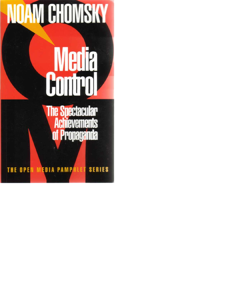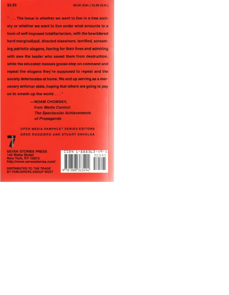"... The issue is whether we want to live in a free society or whether we want to live under what amounts to a form of self-imposed totalitarianism, with the bewildered herd marginalized, directed elsewhere, terrified, screaming patriotic slogans, fearing for their lives and admiring with awe the leader who saved them from destruction, while the educated masses goose-step on command and repeat the slogans they're supposed to repeat and the society deteriorates at home. We end up serving as a mercenary enforcer state, hoping that others are going to pay us to smash up the world . . . "

> -NOAM CHOMSKY, from Media Control: **The Spectacular Achievements** of Propaganda

OPEN MEDIA PAMPHLET SERIES EDITORS **GREG RUGGIERO AND STUART SAHULKA** 



**SEVEN STORIES PRESS 140 Watts Street New York, NY 10013** http://www.sevenstories.com/



**DISTRIBUTED TO THE TRADE** BY PUBLISHERS GROUP WEST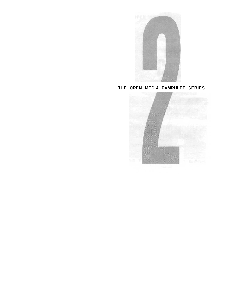

**THE OPEN MEDIA PAMPHLET SERIES**

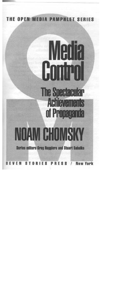

# **Medi** Cont The Spectacular<br>Achievements of Propagan **Ua CHOM**  $\mathbf{Q}$ **Series editors Greg Ruggiero and Stuart Sahulka**  $\overline{1}$ 8 E E N S т ORIES **PRESS New York**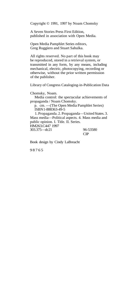Copyright © 1991, 1997 by Noam Chomsky

A Seven Stories Press First Edition, published in association with Open Media.

Open Media Pamphlet Series editors, Greg Ruggiero and Stuart Sahulka.

All rights reserved. No part of this book may be reproduced, stored in a retrieval system, or transmitted in any form, by any means, including mechanical, electric, photocopying, recording or otherwise, without the prior written permission of the publisher.

Library of Congress Cataloging-in-Publication Data

Chomsky, Noam. Media control: the spectacular achievements of propaganda / Noam Chomsky. p. cm. —(The Open Media Pamphlet Series)

ISBN 1-888363-49-5

1. Propaganda. 2. Propaganda—United States. 3. Mass media—Political aspects. 4. Mass media and public opinion. I. Title. II. Series. HM263.C447 1997 303.375—dc21 96-53580

CIP

Book design by Cindy LaBreacht

9876 5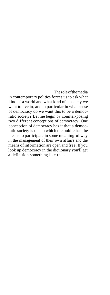The role of the media

in contemporary politics forces us to ask what kind of a world and what kind of a society we want to live in, and in particular in what sense of democracy do we want this to be a democratic society? Let me begin by counter-posing two different conceptions of democracy. One conception of democracy has it that a democratic society is one in which the public has the means to participate in some meaningful way in the management of their own affairs and the means of information are open and free. If you look up democracy in the dictionary you'll get a definition something like that.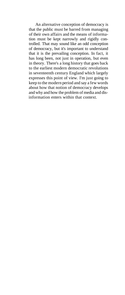An alternative conception of democracy is that the public must be barred from managing of their own affairs and the means of information must be kept narrowly and rigidly controlled. That may sound like an odd conception of democracy, but it's important to understand that it is the prevailing conception. In fact, it has long been, not just in operation, but even in theory. There's a long history that goes back to the earliest modern democratic revolutions in seventeenth century England which largely expresses this point of view. I'm just going to keep to the modern period and say a few words about how that notion of democracy develops and why and how the problem of media and disinformation enters within that context.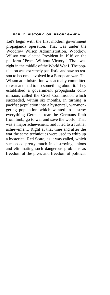### **EARLY HISTORY OF PROPAGANDA**

Let's begin with the first modern government propaganda operation. That was under the Woodrow Wilson Administration. Woodrow Wilson was elected President in 1916 on the platform "Peace Without Victory." That was right in the middle of the World War I. The population was extremely pacifistic and saw no reason to become involved in a European war. The Wilson administration was actually committed to war and had to do something about it. They established a government propaganda commission, called the Creel Commission which succeeded, within six months, in turning a pacifist population into a hysterical, war-mongering population which wanted to destroy everything German, tear the Germans limb from limb, go to war and save the world. That was a major achievement, and it led to a further achievement. Right at that time and after the war the same techniques were used to whip up a hysterical Red Scare, as it was called, which succeeded pretty much in destroying unions and eliminating such dangerous problems as freedom of the press and freedom of political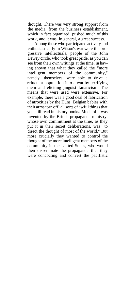thought. There was very strong support from the media, from the business establishment, which in fact organized, pushed much of this work, and it was, in general, a great success.

Among those who participated actively and enthusiastically in Wilson's war were the progressive intellectuals, people of the John Dewey circle, who took great pride, as you can see from their own writings at the time, in having shown that what they called the "more intelligent members of the community," namely, themselves, were able to drive a reluctant population into a war by terrifying them and eliciting jingoist fanaticism. The means that were used were extensive. For example, there was a good deal of fabrication of atrocities by the Huns, Belgian babies with their arms torn off, all sorts of awful things that you still read in history books. Much of it was invented by the British propaganda ministry, whose own commitment at the time, as they put it in their secret deliberations, was "to direct the thought of most of the world." But more crucially they wanted to control the thought of the more intelligent members of the community in the United States, who would then disseminate the propaganda that they were concocting and convert the pacifistic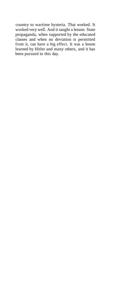country to wartime hysteria. That worked. It worked very well. And it taught a lesson: State propaganda, when supported by the educated classes and when no deviation is permitted from it, can have a big effect. It was a lesson learned by Hitler and many others, and it has been pursued to this day.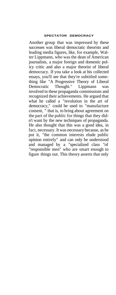## **SPECTATOR DEMOCRACY**

Another group that was impressed by these successes was liberal democratic theorists and leading media figures, like, for example, Walter Lippmann, who was the dean of American journalists, a major foreign and domestic policy critic and also a major theorist of liberal democracy. If you take a look at his collected essays, you'll see that they're subtitled something like "A Progressive Theory of Liberal Democratic Thought." Lippmann was involved in these propaganda commissions and recognized their achievements. He argued that what he called a "revolution in the art of democracy," could be used to "manufacture consent, " that is, to bring about agreement on the part of the public for things that they didn't want by the new techniques of propaganda. He also thought that this was a good idea, in fact, necessary. It was necessary because, as he put it, "the common interests elude public opinion entirely" and can only be understood and managed by a "specialized class "of "responsible men" who are smart enough to figure things out. This theory asserts that only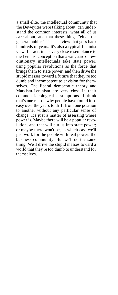a small elite, the intellectual community that the Deweyites were talking about, can understand the common interests, what all of us care about, and that these things "elude the general public." This is a view that goes back hundreds of years. It's also a typical Leninist view. In fact, it has very close resemblance to the Leninist conception that a vanguard of revolutionary intellectuals take state power, using popular revolutions as the force that brings them to state power, and then drive the stupid masses toward a future that they're too dumb and incompetent to envision for themselves. The liberal democratic theory and Marxism-Leninism are very close in their common ideological assumptions. I think that's one reason why people have found it so easy over the years to drift from one position to another without any particular sense of change. It's just a matter of assessing where power is. Maybe there will be a popular revolution, and that will put us into state power; or maybe there won't be, in which case we'll just work for the people with real power: the business community. But we'll do the same thing. We'll drive the stupid masses toward a world that they're too dumb to understand for themselves.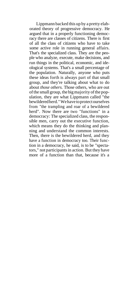Lippmann backed this up by a pretty elaborated theory of progressive democracy. He argued that in a properly functioning democracy there are classes of citizens. There is first of all the class of citizens who have to take some active role in running general affairs. That's the specialized class. They are the people who analyze, execute, make decisions, and run things in the political, economic, and ideological systems. That's a small percentage of the population. Naturally, anyone who puts these ideas forth is always part of that small group, and they're talking about what to do about *those others.* Those others, who are out of the small group, the big majority of the population, they are what Lippmann called "the bewildered herd." We have to protect ourselves from "the trampling and roar of a bewildered herd". Now there are two "functions" in a democracy: The specialized class, the responsible men, carry out the executive function, which means they do the thinking and planning and understand the common interests. Then, there is the bewildered herd, and they have a function in democracy too. Their function in a democracy, he said, is to be "spectators," not participants in action. But they have more of a function than that, because it's a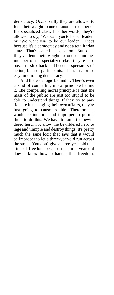democracy. Occasionally they are allowed to lend their weight to one or another member of the specialized class. In other words, they're allowed to say, "We want you to be our leader" or "We want *you* to be our leader." That's because it's a democracy and not a totalitarian state. That's called an election. But once they've lent their weight to one or another member of the specialized class they're supposed to sink back and become spectators of action, but not participants. That's in a properly functioning democracy.

And there's a logic behind it. There's even a kind of compelling moral principle behind it. The compelling moral principle is that the mass of the public are just too stupid to be able to understand things. If they try to participate in managing their own affairs, they're just going to cause trouble. Therefore, it would be immoral and improper to permit them to do this. We have to tame the bewildered herd, not allow the bewildered herd to rage and trample and destroy things. It's pretty much the same logic that says that it would be improper to let a three-year-old run across the street. You don't give a three-year-old that kind of freedom because the three-year-old doesn't know how to handle that freedom.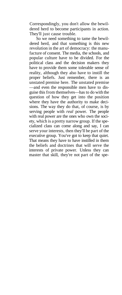Correspondingly, you don't allow the bewildered herd to become participants in action. They'll just cause trouble.

So we need something to tame the bewildered herd, and that something is this new revolution in the art of democracy: the manufacture of consent. The media, the schools, and popular culture have to be divided. For the political class and the decision makers they have to provide them some tolerable sense of reality, although they also have to instill the proper beliefs. Just remember, there is an unstated premise here. The unstated premise —and even the responsible men have to disguise this from themselves—has to do with the question of how they get into the position where they have the authority to make decisions. The way they do that, of course, is by serving people with *real* power. The people with real power are the ones who own the society, which is a pretty narrow group. If the specialized class can come along and say, I can serve your interests, then they'll be part of the executive group. You've got to keep that quiet. That means they have to have instilled in them the beliefs and doctrines that will serve the interests of private power. Unless they can master that skill, they're not part of the spe-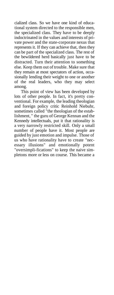cialized class. So we have one kind of educational system directed to the responsible men, the specialized class. They have to be deeply indoctrinated in the values and interests of private power and the state-corporate nexus that represents it. If they can achieve that, then they can be part of the specialized class. The rest of the bewildered herd basically just have to be distracted. Turn their attention to something else. Keep them out of trouble. Make sure that they remain at most spectators of action, occasionally lending their weight to one or another of the real leaders, who they may select among.

This point of view has been developed by lots of other people. In fact, it's pretty conventional. For example, the leading theologian and foreign policy critic Reinhold Niebuhr, sometimes called "the theologian of the establishment, " the guru of George Kennan and the Kennedy intellectuals, put it that rationality is a very narrowly restricted skill. Only a small number of people have it. Most people are guided by just emotion and impulse. Those of us who have rationality have to create "necessary illusions" and emotionally potent "oversimpli-fications" to keep the naive simpletons more or less on course. This became a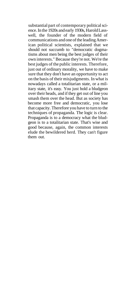substantial part of contemporary political science. In the 1920s and early 1930s, Harold Lasswell, the founder of the modern field of communications and one of the leading American political scientists, explained that we should not succumb to "democratic dogmatisms about men being the best judges of their own interests." Because they're not. We're the best judges of the public interests. Therefore, just out of ordinary morality, we have to make sure that they don't have an opportunity to act on the basis of their misjudgments. In what is nowadays called a totalitarian state, or a military state, it's easy. You just hold a bludgeon over their heads, and if they get out of line you smash them over the head. But as society has become more free and democratic, you lose that capacity. Therefore you have to turn to the techniques of propaganda. The logic is clear. Propaganda is to a democracy what the bludgeon is to a totalitarian state. That's wise and good because, again, the common interests elude the bewildered herd. They can't figure them out.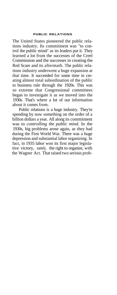## **PUBLIC RELATIONS**

The United States pioneered the public relations industry. Its commitment was "to control the public mind/' as its leaders put it. They learned a lot from the successes of the Creel Commission and the successes in creating the Red Scare and its aftermath. The public relations industry underwent a huge expansion at that time. It succeeded for some time in creating almost total subordination of the public to business rule through the 1920s. This was so extreme that Congressional committees began to investigate it as we moved into the 1930s. That's where a lot of our information about it comes from.

Public relations is a huge industry. They're spending by now something on the order of a billion dollars a year. All along its commitment was to *controlling the public mind.* In the 1930s, big problems arose again, as they had during the First World War. There was a huge depression and substantial labor organizing. In fact, in 1935 labor won its first major legislative victory, namely, the right to organize, with the Wagner Act. That raised two serious prob-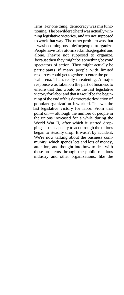lems. For one thing, democracy was misfunctioning. The bewildered herd was actually winning legislative victories, and it's not supposed to work that way. The other problem was that it was becoming possible for people to organize. People have to be atomized and segregated and alone. They're not supposed to organize, because then they might be something beyond spectators of action. They might actually be participants if many people with limited resources could get together to enter the political arena. That's really threatening, A major response was taken on the part of business to ensure that this would be the last legislative victory for labor and that it would be the beginning of the end of this democratic deviation of popular organization. It worked. That was the last legislative victory for labor. From that point on — although the number of people in the unions increased for a while during the World War II, after which it started dropping — the capacity to act through the unions began to steadily drop. It wasn't by accident. We're now talking about the business community, which spends lots and lots of money, attention, and thought into how to deal with these problems through the public relations industry and other organizations, like the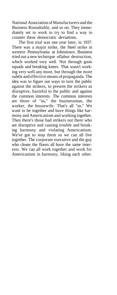National Association of Manufacturers and the Business Roundtable, and so on. They immediately set to work to try to find a way to counter these democratic deviations.

The first trial was one year later, in 1937. There was a major strike, the Steel strike in western Pennsylvania at Johnstown. Business tried out a new technique oflabor destruction, which worked very well. Not through goon squads and breaking knees. That wasn't working very well any more, but through the more subtle and effective means of propaganda. The idea was to figure out ways to turn the public against the strikers, to present the strikers as disruptive, harmful to the public and against the common interests. The common interests are those of "us," the businessman, the worker, the housewife. That's all "us." We want to be together and have things like harmony and Americanism and working together. Then there's those bad strikers out there who are disruptive and causing trouble and breaking harmony and violating Americanism. We've got to stop them so we can all live together. The corporate executive and the guy who cleans the floors all have the same interests. We can all work together and work for Americanism in harmony, liking each other.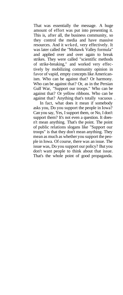That was essentially the message. A huge amount of effort was put into presenting it. This is, after all, the business community, so they control the media and have massive resources. And it wrked, very effectively. It was later called the "Mohawk Valley formula" and applied over and over again to break strikes. They were called "scientific methods of strike-breaking," and worked very effectively by mobilizing community opinion in favor of vapid, empty concepts like Americanism. Who can be against that? Or harmony. Who can be against that? Or, as in the Persian Gulf War, "Support our troops." Who can be against that? Or yellow ribbons. Who can be against that? Anything that's totally vacuous .

In fact, what does it mean if somebody asks you, Do you support the people in Iowa? Can you say, Yes, I support them, or No, I don't support them? It's not even a question. It doesn't mean anything. That's the point. The point of public relations slogans like "Support our troops" is that they don't mean anything. They mean as much as whether you support the people in Iowa. Of course, there was an issue. The issue was, Do you support our policy? But you don't want people to think about that issue. That's the whole point of good propaganda.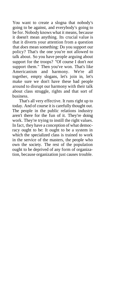You want to create a slogna that nobody's going to be against, and everybody's going to be for. Nobody knows what it means, because it doesn't mean anything. Its crucial value is that it diverts your attention from a question that *does* mean something: Do you support our policy? That's the one you're not allowed to talk about. So you have people arguing about support for the troops? "Of course I don't *not* support them." Then you've won. That's like Americanism and harmony. We're all together, empty slogans, let's join in, let's make sure we don't have these bad people around to disrupt our harmony with their talk about class struggle, rights and that sort of business.

That's all very effective. It runs right up to today. And of course it is carefully thought out. The people in the public relations industry aren't there for the fun of it. They're doing work. They're trying to instill the right values. In fact, they have a conception of what democracy ought to be: It ought to be a system in which the specialized class is trained to work in the service of the masters, the people who own the society. The rest of the population ought to be deprived of any form of organization, because organization just causes trouble.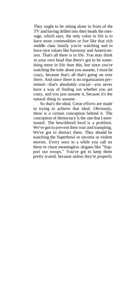They ought to be sitting alone in front of the TV and having drilled into their heads the message, which says, the only value in life is to have more commodities or live like that rich middle class family you're watching and to have nice values like harmony and Americanism. That's all there is in life. You may think in your own head that there's got to be something more in life than this, but since you're watching the tube alone you assume, I must be crazy, because that's all that's going on over there. And since there is no organization permitted—that's absolutely crucial—you never have a way of finding out whether you are crazy, and you just assume it, because it's the natural thing to assume.

So that's the ideal. Great efforts are made in trying to achieve that ideal. Obviously, there is a certain conception behind it. The conception of democracy is the one that I mentioned. The bewildered herd is a problem. We've got to prevent their roar and trampling. We've got to distract them. They should be watching the Superbowl or sitcoms or violent movies. Every once in a while you call on them to chant meaningless slogans like "Support our troops." You've got to keep them pretty scared, because unless they're properly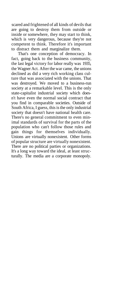scared and frightened of all kinds of devils that are going to destroy them from outside or inside or somewhere, they may start to think, which is very dangerous, because they're not competent to think. Therefore it's important to distract them and marginalize them.

That's one conception of democracy. In fact, going back to the business community, the last legal victory for labor really was 1935, the Wagner Act. After the war came, the unions declined as did a very rich working class culture that was associated with the unions. That was destroyed. We moved to a business-run society at a remarkable level. This is the only state-capitalist industrial society which doesn't have even the normal social contract that you find in comparable societies. Outside of South Africa, I guess, this is the only industrial society that doesn't have national health care. There's no general commitment to even minimal standards of survival for the parts of the population who can't follow those rules and gain things for themselves individually. Unions are virtually nonexistent. Other forms of popular structure are virtually nonexistent. There are no political parties or organizations. It's a long way toward the ideal, at least structurally. The media are a corporate monopoly.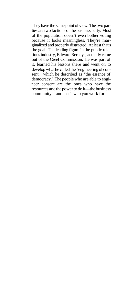They have the same point of view. The two parties are two factions of the business party. Most of the population doesn't even bother voting because it looks meaningless. They're marginalized and properly distracted. At least that's the goal. The leading figure in the public relations industry, Edward Bernays, actually came out of the Creel Commission. He was part of it, learned his lessons there and went on to develop what he called the "engineering of consent," which he described as "the essence of democracy." The people who are able to engineer consent are the ones who have the resources and the power to do it—the business community—and that's who you work for.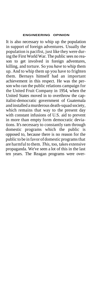### **ENGINEERING OPINION**

It is also necessary to whip up the population in support of foreign adventures. Usually the population is pacifist, just like they were during the First World War. The public sees no reason to get involved in foreign adventures, killing, and torture. So you *have* to whip them up. And to whip them up you have to frighten them. Bernays himself had an important achievement in this respect. He was the person who ran the public relations campaign for the United Fruit Company in 1954, when the United States moved in to overthrow the capitalist-democratic government of Guatemala and installed a murderous death-squad society, which remains that way to the present day with constant infusions of U.S. aid to prevent in more than empty form democratic deviations. It's necessary to constantly ram through domestic programs which the public is opposed to, because there is no reason for the public to be in favor of domestic programs that are harmful to them. *This,* too, takes extensive propaganda. We've seen a lot of this in the last ten years. The Reagan programs were over-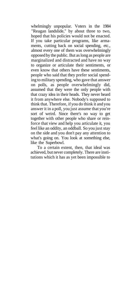whelmingly unpopular. Voters in the 1984 "Reagan landslide," by about three to two, hoped that his policies would not be enacted. If you take particular programs, like armaments, cutting back on social spending, etc., almost every one of them was overwhelmingly opposed by the public. But as long as people are marginalized and distracted and have no way to organize or articulate their sentiments, or even know that others have these sentiments, people who said that they prefer social spending to military spending, who gave that answer on polls, as people overwhelmingly did, assumed that they were the only people with that crazy idea in their heads. They never heard it from anywhere else. Nobody's supposed to think that. Therefore, if you do think it and you answer it in a poll, you just assume that you're sort of weird. Since there's no way to get together with other people who share or reinforce that view and help you articulate it, you feel like an oddity, an oddball. So you just stay on the side and you don't pay any attention to what's going on. You look at something else, like the Superbowl.

To a certain extent, then, that ideal was achieved, but never completely. There are institutions which it has as yet been impossible to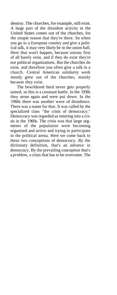destroy. The churches, for example, still exist. A large part of the dissident activity in the United States comes out of the churches, for the simple reason that they're there. So when you go to a European country and give a political talk, it may very likely be in the union hall. Here that won't happen, because unions first of all barely exist, and if they do exist they're not political organizations. But the churches do exist, and therefore you often give a talk in a church. Central American solidarity work mostly grew out of the churches, mainly because they exist.

The bewildered herd never gets properly tamed, so this is a constant battle. In the 1930s they arose again and were put down. In the 1960s there was another wave of dissidence. There was a name for that. It was called by the specialized class "the crisis of democracy." Democracy was regarded as entering into a crisis in the 1960s. The crisis was that large segments of the population were becoming organized and active and trying to participate in the political arena. Here we come back to these two conceptions of democracy. By the dictionary definition, that's an *advance* in democracy. By the prevailing conception that's a *problem,* a crisis that has to be overcome. The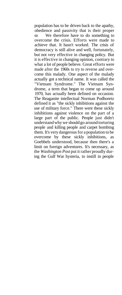population has to be driven back to the apathy, obedience and passivity that is their proper -state. We therefore have to do something to overcome the crisis. Efforts were made to achieve that. It hasn't worked. The crisis of democracy is still alive and well, fortunately, but not very effective in changing policy. But it is effective in changing opinion, contrary to what a lot of people believe. Great efforts were made after the 1960s to try to reverse and overcome this malady. One aspect of the malady actually got a technical name. It was called the "Vietnam Syndrome." The Vietnam Syndrome, a term that began to come up around 1970, has actually been defined on occasion. The Reaganite intellectual Norman Podhoretz defined it as "the sickly inhibitions against the use of military force." There were these sickly inhibitions against violence on the part of a large part of the public. People just didn't understand why we should go around torturing people and killing people and carpet bombing them. It's very dangerous for a population to be overcome by these sickly inhibitions, as Goebbels understood, because then there's a limit on foreign adventures. It's necessary, as the *Washington Post* put it rather proudly during the Gulf War hysteria, to instill in people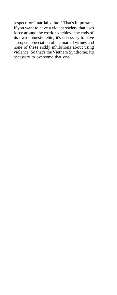respect for "martial value." That's important. If you want to have a violent society that uses force around the world to achieve the ends of its own domestic elite, it's necessary to have a proper appreciation of the martial virtues and none of these sickly inhibitions about using violence. So that's the Vietnam Syndrome. It's necessary to overcome that one.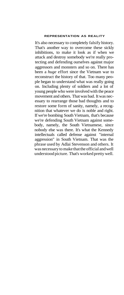## **REPRESENTATION AS REALITY**

It's also necessary to completely falsify history. That's another way to overcome these sickly inhibitions, to make it look as if when we attack and destroy somebody we're really protecting and defending ourselves against major aggressors and monsters and so on. There has been a *huge* effort since the Vietnam war to reconstruct the history of that. Too many people began to understand what was really going on. Including plenty of soldiers and a lot of young people who were involved with the peace movement and others. That was bad. It was necessary to rearrange those bad thoughts and to restore some form of sanity, namely, a recognition that whatever we do is noble and right. If we're bombing South Vietnam, that's because we're defending South Vietnam against somebody, namely, the South Vietnamese, since nobody else was there. It's what the Kennedy intellectuals called defense against "internal aggression" in South Vietnam. That was the phrase used by Adlai Stevenson and others. It was necessary to make that the official and well understood picture. That's worked pretty well.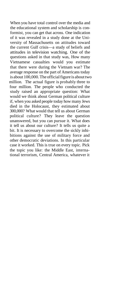When you have total control over the media and the educational system and scholarship is conformist, you can get that across. One indication of it was revealed in a study done at the University of Massachusetts on attitudes toward the current Gulf crisis—a study of beliefs and attitudes in television watching. One of the questions asked in that study was, How many Vietnamese casualties would you estimate that there were during the Vietnam war? The average response on the part of Americans today is about 100,000. The official figure is about two million*.* The actual figure is probably three to four million. The people who conducted the study raised an appropriate question: What would we think about German political culture if, when you asked people today how many Jews died in the Holocaust, they estimated about 300,000? What would that tell us about German political culture? They leave the question unanswered, but you can pursue it. What does it tell us about our culture? It tells us quite a bit. It is necessary to overcome the sickly inhibitions against the use of military force and other democratic deviations. In this particular case it worked. This is true on every topic. Pick the topic you like: the Middle East, international terrorism, Central America, whatever it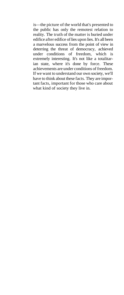is—the picture of the world that's presented to the public has only the remotest relation to reality. The truth of the matter is buried under edifice after edifice of lies upon lies. It's all been a marvelous success from the point of view in deterring the threat of democracy, achieved under conditions of freedom, which is extremely interesting. It's not like a totalitarian state, where it's done by force. These achievements are under conditions of freedom. If we want to understand our own society, we'll have to think about these facts. They are important facts, important for those who care about what kind of society they live in.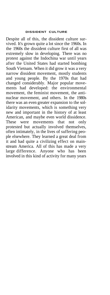## **DISSIDENT CULTURE**

Despite all of this, the dissident culture survived. It's grown quite a lot since the 1960s. In the 1960s the dissident culture first of all was extremely slow in developing. There was no protest against the Indochina war until years after the United States had started bombing South Vietnam. When it did grow it was a very narrow dissident movement, mostly students and young people. By the 1970s that had changed considerably. Major popular movements had developed: the environmental movement, the feminist movement, the antinuclear movement, and others. In the 1980s there was an even greater expansion to the solidarity movements, which is something very new and important in the history of at least American, and maybe even world dissidence. These were movements that not only protested but actually involved themselves, often intimately, in the lives of suffering people elsewhere. They learned a great deal from it and had quite a civilizing effect on mainstream America. All of this has made a very large difference. Anyone who has been involved in this kind of activity for many years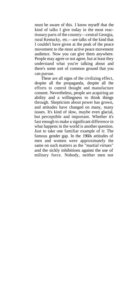must be aware of this. I know myself that the kind of talks I give today in the most reactionary parts of the country—central Georgia, rural Kentucky, etc.—are talks of the kind that I couldn't have given at the peak of the peace movement to the most active peace movement audience. Now you can give them anywhere. People may agree or not agree, but at least they understand what you're talking about and there's some sort of common ground that you can pursue.

These are all signs of the civilizing effect, despite all the propaganda, despite all the efforts to control thought and manufacture consent. Nevertheless, people are acquiring an ability and a willingness to think things through. Skepticism about power has grown, and attitudes have changed on many, many issues. It's kind of slow, maybe even glacial, but perceptible and important. Whether it's fast enough to make a significant difference in what happens in the world is another question. Just to take one familiar example of it: The famous gender gap. In the 1960s attitudes of men and women were approximately the same on such matters as the "martial virtues" and the sickly inhibitions against the use of military force. Nobody, neither men nor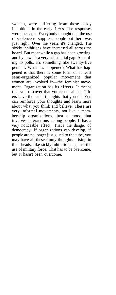women, were suffering from those sickly inhibitions in the early 1960s. The responses were the same. Everybody thought that the use of violence to suppress people out there was just right. Over the years it's changed. The sickly inhibitions have increased all across the board. But meanwhile a gap has been growing, and by now it's a very substantial gap. According to polls, it's something like twenty-five percent. What has happened? What has happened is that there is some form of at least semi-organized popular movement that women are involved in—the feminist movement. Organization has its effects. It means that you discover that you're not alone. Others have the same thoughts that you do. You can reinforce your thoughts and learn more about what you think and believe. These are very informal movements, not like a membership organizations, just a mood that involves interactions among people. It has a very noticeable effect. That's the danger of democracy: If organizations can develop, if people are no longer just glued to the tube, you may have all these funny thoughts arising in their heads, like sickly inhibitions against the use of military force. That has to be overcome, but it hasn't been overcome.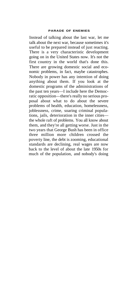## **PARADE OF ENEMIES**

Instead of talking about the last war, let me talk about the next war, because sometimes it's useful to be prepared instead of just reacting. There is a very characteristic development going on in the United States now. It's not the first country in the world that's done this. There are growing domestic social and economic problems, in fact, maybe catastrophes. Nobody in power has any intention of doing anything about them. If you look at the domestic programs of the administrations of the past ten years—I include here the Democratic opposition—there's really no serious proposal about what to do about the severe problems of health, education, homelessness, joblessness, crime, soaring criminal populations, jails, deterioration in the inner cities the whole raft of problems. You all know about them, and they're all getting worse. Just in the two years that George Bush has been in office three million more children crossed the poverty line, the debt is zooming, educational standards are declining, real wages are now back to the level of about the late 1950s for much of the population, and nobody's doing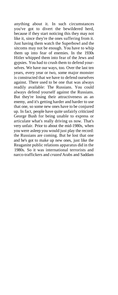anything about it. In such circumstances you've got to divert the bewildered herd, because if they start noticing this they may not like it, since they're the ones suffering from it. Just having them watch the Superbowl and the sitcoms may not be enough. You have to whip them up into fear of enemies. In the 1930s Hitler whipped them into fear of the Jews and gypsies. You had to crush them to defend yourselves. We have our ways, too. Over the last ten years, every year or two, some major monster is constructed that we have to defend ourselves against. There used to be one that was always readily available: The Russians. You could always defend yourself against the Russians. But they're losing their attractiveness as an enemy, and it's getting harder and harder to use that one, so some new ones have to be conjured up. In fact, people have quite unfairly criticized George Bush for being unable to express or articulate what's really driving us now. That's very unfair. Prior to about the mid-1980s, when you were asleep you would just play the record: the Russians are coming. But he lost that one and he's got to make up new ones, just like the Reaganite public relations apparatus did in the 1980s. So it was international terrorists and narco-traffickers and *crazed* Arabs and Saddam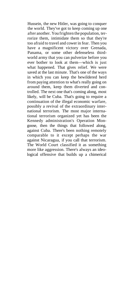Hussein, the new Hitler, was going to conquer the world. They've got to keep coming up one after another. You frighten the population, terrorize them, intimidate them so that they're too afraid to travel and cower in fear. Then you have a magnificent victory over Grenada, Panama, or some other defenseless thirdworld army that you can pulverize before you ever bother to look at them—which is just what happened. That gives relief. We were saved at the last minute. That's one of the ways in which you can keep the bewildered herd from paying attention to what's really going on around them, keep them diverted and controlled. The next one that's coming along, most likely, will be Cuba. That's going to require a continuation of the illegal economic warfare, possibly a revival of the extraordinary international terrorism. The most major international terrorism organized yet has been the Kennedy administration's Operation Mongoose, then the things that followed along, against Cuba. There's been nothing remotely comparable to it except perhaps the war against Nicaragua, if you call that terrorism. The World Court classified it as something more like aggression. There's always an ideological offensive that builds up a chimerical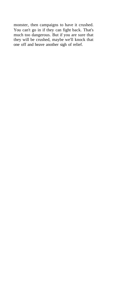monster, then campaigns to have it crushed. You can't go in if they can fight back. That's much too dangerous. But if you are sure that they will be crushed, maybe we'll knock that one off and heave another sigh of relief.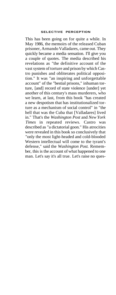## **SELECTIVE PERCEPTION**

This has been going on for quite a while. In May 1986, the memoirs of the released Cuban prisoner, Armando Valladares, came out. They quickly became a media sensation. I'll give you a couple of quotes. The media described his revelations as "the definitive account of the vast system of torture and prison by which Castro punishes and obliterates political opposition." It was "an inspiring and unforgettable account" of the "bestial prisons," inhuman torture, [and] record of state violence [under] yet another of this century's mass murderers, who we learn, at last, from this book "has created a new despotism that has institutionalized torture as a mechanism of social control" in "the hell that was the Cuba that [Valladares] lived in." That's the *Washington Post* and *New York Times* in repeated reviews. Castro was described as "a dictatorial goon." His atrocities were revealed in this book so conclusively that "only the most light-headed and cold-blooded Western intellectual will come to the tyrant's defense," said the *Washington Post.* Remember, this is the account of what happened to one man. Let's say it's all true. Let's raise no ques-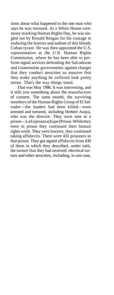tions about what happened to the one man who says he was tortured. At a White House ceremony marking Human Rights Day, he was singled out by Ronald Reagan for his courage in enduring the horrors and sadism of this bloody Cuban tyrant. He was then appointed the U.S. representative at the U.N. Human Rights Commission, where he has been able to perform signal services defending the Salvadoran and Guatemalan governments against charges that they conduct atrocities so massive that they make anything he suffered look pretty minor. That's the way things stand.

That was May 1986. It was interesting, and it tells you something about the manufacture of consent. The same month, the surviving members of the Human Rights Group of El Salvador—the leaders had been killed—were arrested and tortured, including Herbert Anaya, who was the director. They were sent to a prison—La Esperanza (hope) Prison. While they were in prison they continued their human rights work. They were lawyers, they continued taking affidavits. There were 432 prisoners in that prison. They got signed affidavits from 430 of them in which they described, under oath, the torture that they had received: electrical torture and other atrocities, including, in one case,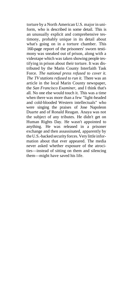torture by a North American U.S. major in uniform, who is described in some detail. This is an unusually explicit and comprehensive testimony, probably unique in its detail about what's going on in a torture chamber. This 160-page report of the prisoners' sworn testimony was sneaked out of prison, along with a videotape which was taken showing people testifying in prison about their torture. It was distributed by the Marin County Interfaith Task Force. *The national press refused to cover it. The TV stations refused to run it.* There was an article in the local Marin County newspaper, the *San Francisco Examiner,* and I think that's all. No one else would touch it. This was a time when there was more than a few "light-headed and cold-blooded Western intellectuals" who were singing the praises of Jose Napoleon Duarte and of Ronald Reagan. Anaya was not the subject of any tributes. He didn't get on Human Rights Day. He wasn't appointed to anything. He was released in a prisoner exchange and then assassinated, apparently by the U.S.-backed security forces. Very little information about that ever appeared. The media never asked whether exposure of the atrocities—instead of sitting on them and silencing them—might have saved his life.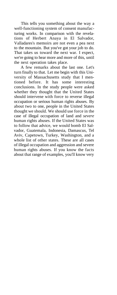This tells you something about the way a well-functioning system of consent manufacturing works. In comparison with the revelations of Herbert Anaya in El Salvador, Valladares's memoirs are not even a pea next to the mountain. But you've got your job to do. That takes us toward the next war. I expect, we're going to hear more and more of this, until the next operation takes place.

A few remarks about the last one. Let's turn finally to that. Let me begin with this University of Massachusetts study that I mentioned before. It has some interesting conclusions. In the study people were asked whether they thought that the United States should intervene with force to reverse illegal occupation or serious human rights abuses. By about two to one, people in the United States thought we should. We should use force in the case of illegal occupation of land and *severe* human rights abuses. If the United States was to follow that advice, we would bomb El Salvador, Guatemala, Indonesia, Damascus, Tel Aviv, Capetown, Turkey, Washington, and a whole list of other states. These are all cases of illegal occupation and aggression and severe human rights abuses. If you know the facts about that range of examples, you'll know very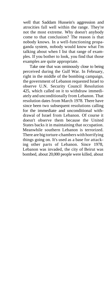well that Saddam Hussein's aggression and atrocities fall well within the range. They're not the most extreme. Why doesn't anybody come to that conclusion? The reason is that nobody knows. In a well-functioning propaganda system, nobody would know what I'm talking about when I list that range of examples. If you bother to look, you find that those examples are quite appropriate.

Take one that was ominously close to being perceived during the Gulf War. In February, right in the middle of the bombing campaign, the government of Lebanon requested Israel to observe U.N. Security Council Resolution 425, which called on it to withdraw immediately and unconditionally from Lebanon. That resolution dates from March 1978. There have since been two subsequent resolutions calling for the immediate and unconditional withdrawal of Israel from Lebanon. Of course it doesn't observe them because the United States backs it in maintaining that occupation. Meanwhile southern Lebanon is terrorized. There are big torture-chambers with horrifying things going on. It's used as a base for attacking other parts of Lebanon. Since 1978, Lebanon was invaded, the city of Beirut was bombed, about 20,000 people were killed, about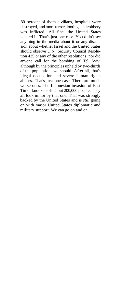80 percent of them civilians, hospitals were destroyed, and more terror, looting, and robbery was inflicted. All fine, the United States backed it. That's just one case. You didn't see anything in the media about it or any discussion about whether Israel and the United States should observe U.N. Security Council Resolution 425 or any of the other resolutions, nor did anyone call for the bombing of Tel Aviv, although by the principles upheld by two-thirds of the population, we should. After all, that's illegal occupation and severe human rights abuses. That's just one case. There are much worse ones. The Indonesian invasion of East Timor knocked off about 200,000 people. They all look minor by that one. That was strongly backed by the United States and is *still* going on with major United States diplomatic and military support. We can go on and on.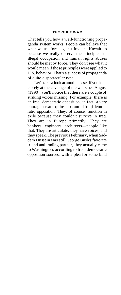#### **THE GULF WAR**

That tells you how a well-functioning propaganda system works. People can believe that when we use force against Iraq and Kuwait it's because we really observe the principle that illegal occupation and human rights abuses should be met by force. They don't see what it would mean if those principles were applied to U.S. behavior. That's a success of propaganda of quite a spectacular type.

Let's take a look at another case. If you look closely at the coverage of the war since August (1990), you'll notice that there are a couple of striking voices missing. For example, there is an Iraqi democratic opposition, in fact, a very courageous and quite substantial Iraqi democratic opposition. They, of course, function in exile because they couldn't survive in Iraq. They are in Europe primarily. They are bankers, engineers, architects—people like that. They are articulate, they have voices, and they speak. The previous February, when Saddam Hussein was still George Bush's favorite friend and trading partner, they actually came to Washington, according to Iraqi democratic opposition sources, with a plea for some kind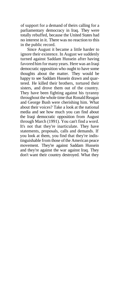of support for a demand of theirs calling for a parliamentary democracy in Iraq. They were totally rebuffed, because the United States had no interest in it. There was no reaction to this in the public record.

Since August it became a little harder to ignore their existence. In August we suddenly turned against Saddam Hussein after having favored him for many years. Here was an Iraqi democratic opposition who ought to have some thoughts about the matter. They would be happy to see Saddam Hussein drawn and quartered. He killed their brothers, tortured their sisters, and drove them out of the country. They have been fighting against his tyranny throughout the whole time that Ronald Reagan and George Bush were cherishing him. What about their voices? Take a look at the national media and see how much you can find about the Iraqi democratic opposition from August through March (1991). You can't find a word. It's not that they're inarticulate. They have statements, proposals, calls and demands. If you look at them, you find that they're indistinguishable from those of the American peace movement. They're against Saddam Hussein and they're against the war against Iraq. They don't want their country destroyed. What they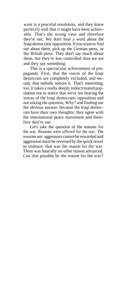want is a peaceful resolution, and they knew perfectly well that it might have been achievable. That's the wrong view and therefore they're out. We don't hear a word about the Iraqi democratic opposition. If you want to find out about them, pick up the German press, or the British press. They don't say much about them, but they're less controlled than we are and they say something.

This is a spectacular achievement of propaganda. First, that the voices of the Iraqi democrats are completely excluded, and second, that nobody notices it. That's interesting, too. It takes a really deeply indoctrinated population not to notice that we're not hearing the voices of the Iraqi democratic opposition and not asking the question, Why? and finding out the obvious answer: because the Iraqi democrats have their own thoughts; they agree with the international peace movement and therefore they're out.

Let's take the question of the reasons for the war. Reasons were offered for the war. The reasons are: aggressors cannot be rewarded and aggression must be reversed by the quick resort to violence; that was the reason for the war. There was basically no other reason advanced. Can that possibly be the reason for the war?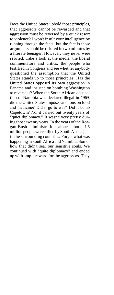Does the United States uphold those principles, that aggressors cannot be rewarded and that aggression must be reversed by a quick resort to violence? I won't insult your intelligence by running through the facts, but the fact is those arguments could be refuted in two minutes by a literate teenager. However, they never were refuted. Take a look at the media, the liberal commentators and critics, the people who testified in Congress and see whether anybody questioned the assumption that the United States stands up to those principles. Has the United States opposed its own aggression in Panama and insisted on bombing Washington to reverse it? When the South African occupation of Namibia was declared illegal in 1969, did the United States impose sanctions on food and medicine? Did it go to war? Did it bomb Capetown? No, it carried out twenty years of "quiet diplomacy." It wasn't very pretty during those twenty years. In the years of the Reagan-Bush administration alone, about 1.5 million people were killed by South Africa just in the surrounding countries. Forget what was happening in South Africa and Namibia. Somehow that didn't sear our sensitive souls. We continued with "quite diplomacy" and ended up with ample reward for the aggressors. They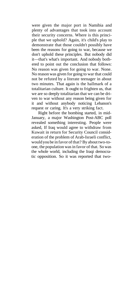were given the major port in Namibia and plenty of advantages that took into account their security concerns. Where is this principle that we uphold? Again, it's child's play to demonstrate that those couldn't possibly have been the reasons for going to war, because we don't uphold these principles. But nobody did it—that's what's important. And nobody bothered to point out the conclusion that follows: No reason was given for going to war. None. No reason was given for going to war that could not be refuted by a literate teenager in about two minutes. That again is the hallmark of a totalitarian culture. It ought to frighten us, that we are so deeply totalitarian that we can be driven to war without any reason being given for it and without anybody noticing Lebanon's request or caring. It's a very striking fact.

Right before the bombing started, in mid-January, a major Washington Post-ABC poll revealed something interesting. People were asked, If Iraq would agree to withdraw from Kuwait in return for Security Council consideration of the problem of Arab-Israeli conflict, would you be in favor of that? By about two-toone, the population was in favor of that. So was the whole world, including the Iraqi democratic opposition. So it was reported that two-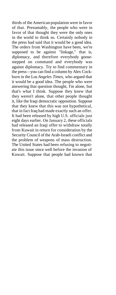thirds of the American population were in favor of that. Presumably, the people who were in favor of that thought they were the only ones in the world to think so. Certainly nobody in the press had said that it would be a good idea. The orders from Washington have been, we're supposed to be against "linkage," that is, diplomacy, and therefore everybody goosestepped on command and everybody was against diplomacy. Try to find commentary in the press—you can find a column by Alex Cockburn in the Los *Angeles Times,* who argued that it would be a good idea. The people who were answering that question thought, I'm alone, but that's what I think. Suppose they knew that they weren't alone, that other people thought it, like the Iraqi democratic opposition. Suppose that they knew that this was not hypothetical, that in fact Iraq had made exactly such an offer. It had been released by high U.S. officials just eight days earlier. On January 2, these officials had released an Iraqi offer to withdraw totally from Kuwait in return for consideration by the Security Council of the Arab-Israeli conflict and the problem of weapons of mass destruction. The United States had been refusing to negotiate this issue since well before the invasion of Kuwait. Suppose that people had known that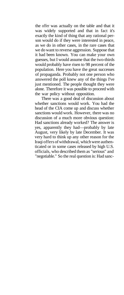the offer was actually on the table and that it was widely supported and that in fact it's exactly the kind of thing that any rational person would do if they were interested in peace, as we do in other cases, in the rare cases that we do want to reverse aggression. Suppose that it had been known. You can make your own guesses, but I would assume that the two-thirds would probably have risen to 98 percent of the population. Here you have the great successes of propaganda. Probably not one person who answered the poll knew any of the things I've just mentioned. The people thought they were alone. Therefore it was possible to proceed with the war policy without opposition.

There was a good deal of discussion about whether sanctions would work. You had the head of the CIA come up and discuss whether sanctions would work. However, there was no discussion of a much more obvious question: Had sanctions already worked? The answer is yes, apparently they had—probably by late August, very likely by late December. It was very hard to think up any other reason for the Iraqi offers of withdrawal, which were authenticated or in some cases released by high U.S. officials, who described them as "serious" and "negotiable." So the real question is: Had sanc-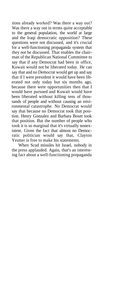tions already worked? Was there a way out? Was there a way out in terms quite acceptable to the general population, the world at large and the Iraqi democratic opposition? These questions were not discussed, and it's crucial for a well-functioning propaganda system that they *not* be discussed. That enables the chairman of the Republican National Committee to say that if any Democrat had been in office, Kuwait would not be liberated today. He can say that and no Democrat would get up and say that if I were president it would have been liberated not only today but six months ago, because there were opportunities then that I would have pursued and Kuwait would have been liberated without killing tens of thousands of people and without causing an environmental catastrophe. No Democrat would say that because no Democrat took that position. Henry Gonzalez and Barbara Boxer took that position. But the number of people who took it is so marginal that it's virtually nonexistent. Given the fact that almost no Democratic politician would say that, Clayton Yeutter is free to make his statements.

When Scud missiles hit Israel, nobody in the press applauded. Again, that's an interesting fact about a well-functioning propaganda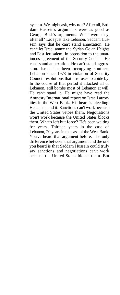system. We might ask, why not? After all, Saddam Hussein's arguments were as good as George Bush's arguments. What were they, after all? Let's just take Lebanon. Saddam Hussein says that he can't stand annexation. He can't let Israel annex the Syrian Golan Heights and East Jerusalem, in opposition to the unanimous agreement of the Security Council. He can't stand annexation. He can't stand aggression. Israel has been occupying southern Lebanon since 1978 in violation of Security Council resolutions that it refuses to abide by. In the course of that period it attacked all of Lebanon, still bombs most of Lebanon at will. He can't stand it. He might have read the Amnesty International report on Israeli atrocities in the West Bank. His heart is bleeding. He can't stand it. Sanctions can't work because the United States vetoes them. Negotiations won't work because the United States blocks them. What's left but force? He's been waiting for years. Thirteen years in the case of Lebanon, 20 years in the case of the West Bank. You've heard that argument before. The only difference between that argument and the one you heard is that Saddam Hussein could truly say sanctions and negotiations can't work because the United States blocks them. But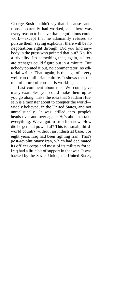George Bush couldn't say that, because sanctions apparently had worked, and there was every reason to believe that negotiations could work—except that he adamantly refused to pursue them, saying explicitly, there will be no negotiations right through. Did you find anybody in the press who pointed that out? No. It's a triviality. It's something that, again, a literate teenager could figure out in a minute. But nobody pointed it out, no commentator, no editorial writer. That, again, is the sign of a very well-run totalitarian culture. It shows that the manufacture of consent is working.

Last comment about this. We could give many examples, you could make them up as you go along. Take the idea that Saddam Hussein is a monster about to conquer the world widely believed, in the United States, and not unrealistically. It was drilled into people's heads over and over again: He's about to take everything. We've got to stop him now. How did he get that powerful? This is a small, thirdworld country without an industrial base. For eight years Iraq had been fighting Iran. That's post-revolutionary Iran, which had decimated its officer corps and most of its military force. Iraq had a little bit of support in that war. It was backed by the Soviet Union, the United States,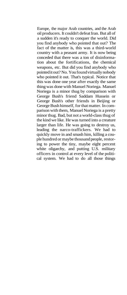Europe, the major Arab countries, and the Arab oil producers. It couldn't defeat Iran. But all of a sudden it's ready to conquer the world. Did you find anybody who pointed that out? The fact of the matter is, this was a third-world country with a peasant army. It is now being conceded that there was a ton of disinformation about the fortifications, the chemical weapons, etc. But did you find anybody who pointed it out? No. You found virtually nobody who pointed it out. That's typical. Notice that this was done one year after exactly the same thing was done with Manuel Noriega. Manuel Noriega is a minor thug by comparison with George Bush's friend Saddam Hussein or George Bush's other friends in Beijing or George Bush himself, for that matter. In comparison with them, Manuel Noriega is a pretty minor thug. Bad, but not a world-class thug of the kind we like. He was turned into a creature larger than life. He was going to destroy us, leading the narco-traffickers. We had to quickly move in and smash him, killing a couple hundred or maybe thousand people, restoring to power the tiny, maybe eight percent white oligarchy, and putting U.S. military officers in control at every level of the political system. We had to do all those things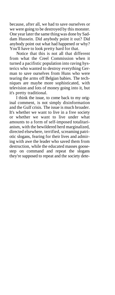because, after all, we had to save ourselves or we were going to be destroyed by this monster. One year later the same thing was done by Saddam Hussein. Did anybody point it out? Did anybody point out what had happened or why? You'll have to look pretty hard for that.

Notice that this is not all that different from what the Creel Commission when it turned a pacifistic population into raving hysterics who wanted to destroy everything German to save ourselves from Huns who were tearing the arms off Belgian babies. The techniques are maybe more sophisticated, with television and lots of money going into it, but it's pretty traditional.

I think the issue, to come back to my original comment, is not simply disinformation and the Gulf crisis. The issue is much broader. It's whether we want to live in a free society or whether we want to live under what amounts to a form of self-imposed totalitarianism, with the bewildered herd marginalized, directed elsewhere, terrified, screaming patriotic slogans, fearing for their lives and admiring with awe the leader who saved them from destruction, while the educated masses goosestep on command and repeat the slogans they're supposed to repeat and the society dete-